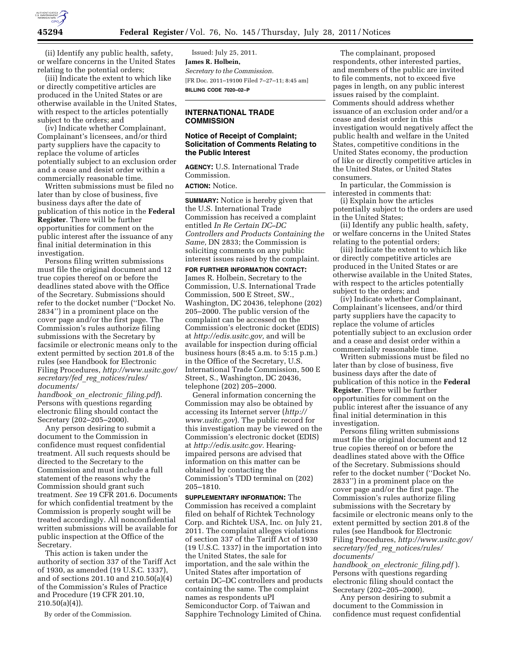

(ii) Identify any public health, safety, or welfare concerns in the United States relating to the potential orders;

(iii) Indicate the extent to which like or directly competitive articles are produced in the United States or are otherwise available in the United States, with respect to the articles potentially subject to the orders; and

(iv) Indicate whether Complainant, Complainant's licensees, and/or third party suppliers have the capacity to replace the volume of articles potentially subject to an exclusion order and a cease and desist order within a commercially reasonable time.

Written submissions must be filed no later than by close of business, five business days after the date of publication of this notice in the **Federal Register**. There will be further opportunities for comment on the public interest after the issuance of any final initial determination in this investigation.

Persons filing written submissions must file the original document and 12 true copies thereof on or before the deadlines stated above with the Office of the Secretary. Submissions should refer to the docket number (''Docket No. 2834'') in a prominent place on the cover page and/or the first page. The Commission's rules authorize filing submissions with the Secretary by facsimile or electronic means only to the extent permitted by section 201.8 of the rules (see Handbook for Electronic Filing Procedures, *[http://www.usitc.gov/](http://www.usitc.gov/secretary/fed_reg_notices/rules/documents/handbook_on_electronic_filing.pdf) secretary/fed*\_*reg*\_*[notices/rules/](http://www.usitc.gov/secretary/fed_reg_notices/rules/documents/handbook_on_electronic_filing.pdf)  [documents/](http://www.usitc.gov/secretary/fed_reg_notices/rules/documents/handbook_on_electronic_filing.pdf)* 

*[handbook](http://www.usitc.gov/secretary/fed_reg_notices/rules/documents/handbook_on_electronic_filing.pdf)*\_*on*\_*electronic*\_*filing.pdf*). Persons with questions regarding electronic filing should contact the Secretary (202–205–2000).

Any person desiring to submit a document to the Commission in confidence must request confidential treatment. All such requests should be directed to the Secretary to the Commission and must include a full statement of the reasons why the Commission should grant such treatment. *See* 19 CFR 201.6. Documents for which confidential treatment by the Commission is properly sought will be treated accordingly. All nonconfidential written submissions will be available for public inspection at the Office of the Secretary.

This action is taken under the authority of section 337 of the Tariff Act of 1930, as amended (19 U.S.C. 1337), and of sections 201.10 and 210.50(a)(4) of the Commission's Rules of Practice and Procedure (19 CFR 201.10,  $210.50(a)(4)$ .

By order of the Commission.

Issued: July 25, 2011. **James R. Holbein,**  *Secretary to the Commission.*  [FR Doc. 2011–19100 Filed 7–27–11; 8:45 am] **BILLING CODE 7020–02–P** 

#### **INTERNATIONAL TRADE COMMISSION**

## **Notice of Receipt of Complaint; Solicitation of Comments Relating to the Public Interest**

**AGENCY:** U.S. International Trade Commission.

# **ACTION:** Notice.

**SUMMARY:** Notice is hereby given that the U.S. International Trade Commission has received a complaint entitled *In Re Certain DC–DC Controllers and Products Containing the Same,* DN 2833; the Commission is soliciting comments on any public interest issues raised by the complaint.

**FOR FURTHER INFORMATION CONTACT:**  James R. Holbein, Secretary to the Commission, U.S. International Trade Commission, 500 E Street, SW., Washington, DC 20436, telephone (202) 205–2000. The public version of the complaint can be accessed on the Commission's electronic docket (EDIS) at *[http://edis.usitc.gov,](http://edis.usitc.gov)* and will be available for inspection during official business hours (8:45 a.m. to 5:15 p.m.) in the Office of the Secretary, U.S. International Trade Commission, 500 E Street, S., Washington, DC 20436, telephone (202) 205–2000.

General information concerning the Commission may also be obtained by accessing its Internet server (*[http://](http://www.usitc.gov)  [www.usitc.gov](http://www.usitc.gov)*). The public record for this investigation may be viewed on the Commission's electronic docket (EDIS) at *[http://edis.usitc.gov.](http://edis.usitc.gov)* Hearingimpaired persons are advised that information on this matter can be obtained by contacting the Commission's TDD terminal on (202) 205–1810.

**SUPPLEMENTARY INFORMATION:** The Commission has received a complaint filed on behalf of Richtek Technology Corp. and Richtek USA, Inc. on July 21, 2011. The complaint alleges violations of section 337 of the Tariff Act of 1930 (19 U.S.C. 1337) in the importation into the United States, the sale for importation, and the sale within the United States after importation of certain DC–DC controllers and products containing the same. The complaint names as respondents uPI Semiconductor Corp. of Taiwan and Sapphire Technology Limited of China.

The complainant, proposed respondents, other interested parties, and members of the public are invited to file comments, not to exceed five pages in length, on any public interest issues raised by the complaint. Comments should address whether issuance of an exclusion order and/or a cease and desist order in this investigation would negatively affect the public health and welfare in the United States, competitive conditions in the United States economy, the production of like or directly competitive articles in the United States, or United States consumers.

In particular, the Commission is interested in comments that:

(i) Explain how the articles potentially subject to the orders are used in the United States;

(ii) Identify any public health, safety, or welfare concerns in the United States relating to the potential orders;

(iii) Indicate the extent to which like or directly competitive articles are produced in the United States or are otherwise available in the United States, with respect to the articles potentially subject to the orders; and

(iv) Indicate whether Complainant, Complainant's licensees, and/or third party suppliers have the capacity to replace the volume of articles potentially subject to an exclusion order and a cease and desist order within a commercially reasonable time.

Written submissions must be filed no later than by close of business, five business days after the date of publication of this notice in the **Federal Register**. There will be further opportunities for comment on the public interest after the issuance of any final initial determination in this investigation.

Persons filing written submissions must file the original document and 12 true copies thereof on or before the deadlines stated above with the Office of the Secretary. Submissions should refer to the docket number (''Docket No. 2833'') in a prominent place on the cover page and/or the first page. The Commission's rules authorize filing submissions with the Secretary by facsimile or electronic means only to the extent permitted by section 201.8 of the rules (see Handbook for Electronic Filing Procedures, *[http://www.usitc.gov/](http://www.usitc.gov/secretary/fed_reg_notices/rules/documents/handbook_on_electronic_filing.pdf) secretary/fed*\_*reg*\_*[notices/rules/](http://www.usitc.gov/secretary/fed_reg_notices/rules/documents/handbook_on_electronic_filing.pdf)  [documents/](http://www.usitc.gov/secretary/fed_reg_notices/rules/documents/handbook_on_electronic_filing.pdf)* 

*[handbook](http://www.usitc.gov/secretary/fed_reg_notices/rules/documents/handbook_on_electronic_filing.pdf)*\_*on*\_*electronic*\_*filing.pdf* ). Persons with questions regarding electronic filing should contact the Secretary (202–205–2000).

Any person desiring to submit a document to the Commission in confidence must request confidential